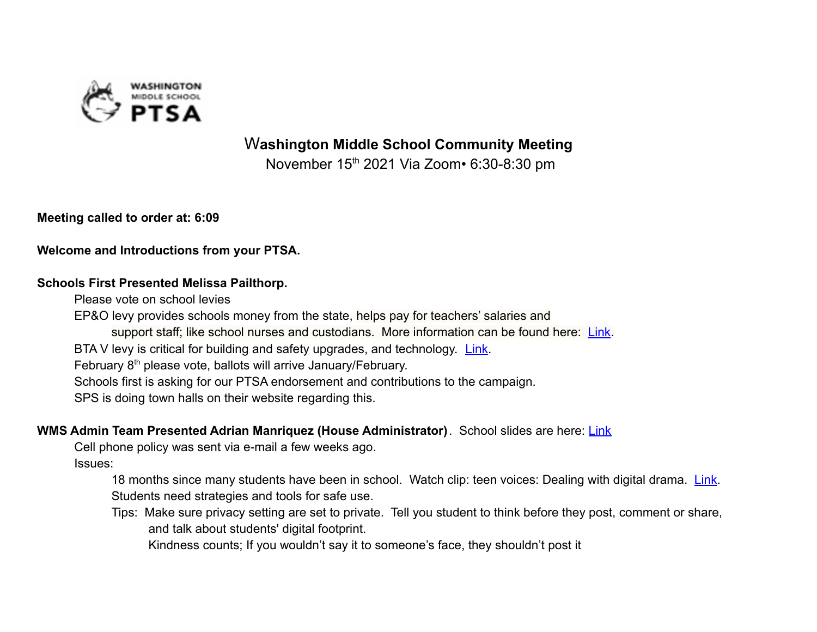

W**ashington Middle School Community Meeting**

November 15<sup>th</sup> 2021 Via Zoom• 6:30-8:30 pm

**Meeting called to order at: 6:09**

**Welcome and Introductions from your PTSA.**

#### **Schools First Presented Melissa Pailthorp.**

Please vote on school levies

EP&O levy provides schools money from the state, helps pay for teachers' salaries and support staff; like school nurses and custodians. More information can be found here: [Link](https://www.seattleschools.org/about/levy/operations-enrichment-levy-planning/). BTA V levy is critical for building and safety upgrades, and technology. [Link](https://www.seattleschools.org/about/levy/).

February 8<sup>th</sup> please vote, ballots will arrive January/February.

Schools first is asking for our PTSA endorsement and contributions to the campaign.

SPS is doing town halls on their website regarding this.

**WMS Admin Team Presented Adrian Manriquez (House Administrator)**. School slides are here: [Link](https://drive.google.com/file/d/1UNjjteqmg9nA4fVggZLPKBmLrSI65twF/view?usp=sharing)

Cell phone policy was sent via e-mail a few weeks ago.

Issues:

18 months since many students have been in school. Watch clip: teen voices: Dealing with digital drama. [Link](https://www.youtube.com/watch?v=RydKEaiKolc). Students need strategies and tools for safe use.

Tips: Make sure privacy setting are set to private. Tell you student to think before they post, comment or share, and talk about students' digital footprint.

Kindness counts; If you wouldn't say it to someone's face, they shouldn't post it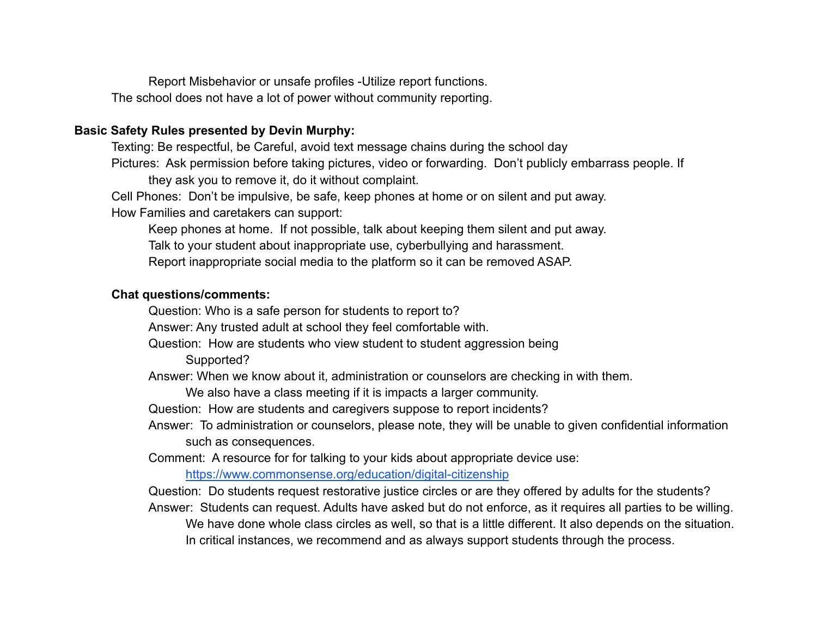Report Misbehavior or unsafe profiles -Utilize report functions. The school does not have a lot of power without community reporting.

### **Basic Safety Rules presented by Devin Murphy:**

Texting: Be respectful, be Careful, avoid text message chains during the school day Pictures: Ask permission before taking pictures, video or forwarding. Don't publicly embarrass people. If they ask you to remove it, do it without complaint.

Cell Phones: Don't be impulsive, be safe, keep phones at home or on silent and put away.

How Families and caretakers can support:

Keep phones at home. If not possible, talk about keeping them silent and put away.

Talk to your student about inappropriate use, cyberbullying and harassment.

Report inappropriate social media to the platform so it can be removed ASAP.

#### **Chat questions/comments:**

Question: Who is a safe person for students to report to?

Answer: Any trusted adult at school they feel comfortable with.

Question: How are students who view student to student aggression being

Supported?

Answer: When we know about it, administration or counselors are checking in with them.

We also have a class meeting if it is impacts a larger community.

Question: How are students and caregivers suppose to report incidents?

Answer: To administration or counselors, please note, they will be unable to given confidential information such as consequences.

Comment: A resource for for talking to your kids about appropriate device use:

<https://www.commonsense.org/education/digital-citizenship>

Question: Do students request restorative justice circles or are they offered by adults for the students?

Answer: Students can request. Adults have asked but do not enforce, as it requires all parties to be willing. We have done whole class circles as well, so that is a little different. It also depends on the situation. In critical instances, we recommend and as always support students through the process.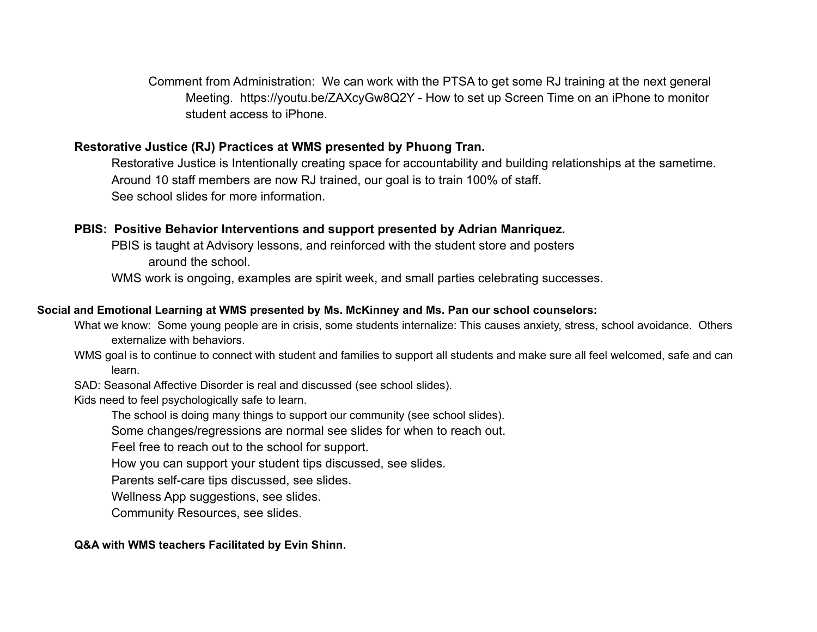Comment from Administration: We can work with the PTSA to get some RJ training at the next general Meeting. https://youtu.be/ZAXcyGw8Q2Y - How to set up Screen Time on an iPhone to monitor student access to iPhone.

## **Restorative Justice (RJ) Practices at WMS presented by Phuong Tran.**

Restorative Justice is Intentionally creating space for accountability and building relationships at the sametime. Around 10 staff members are now RJ trained, our goal is to train 100% of staff. See school slides for more information.

### **PBIS: Positive Behavior Interventions and support presented by Adrian Manriquez.**

PBIS is taught at Advisory lessons, and reinforced with the student store and posters around the school.

WMS work is ongoing, examples are spirit week, and small parties celebrating successes.

## **Social and Emotional Learning at WMS presented by Ms. McKinney and Ms. Pan our school counselors:**

- What we know: Some young people are in crisis, some students internalize: This causes anxiety, stress, school avoidance. Others externalize with behaviors.
	- WMS goal is to continue to connect with student and families to support all students and make sure all feel welcomed, safe and can learn.
	- SAD: Seasonal Affective Disorder is real and discussed (see school slides).
	- Kids need to feel psychologically safe to learn.
		- The school is doing many things to support our community (see school slides).
		- Some changes/regressions are normal see slides for when to reach out.
		- Feel free to reach out to the school for support.
		- How you can support your student tips discussed, see slides.
		- Parents self-care tips discussed, see slides.
		- Wellness App suggestions, see slides.
		- Community Resources, see slides.

### **Q&A with WMS teachers Facilitated by Evin Shinn.**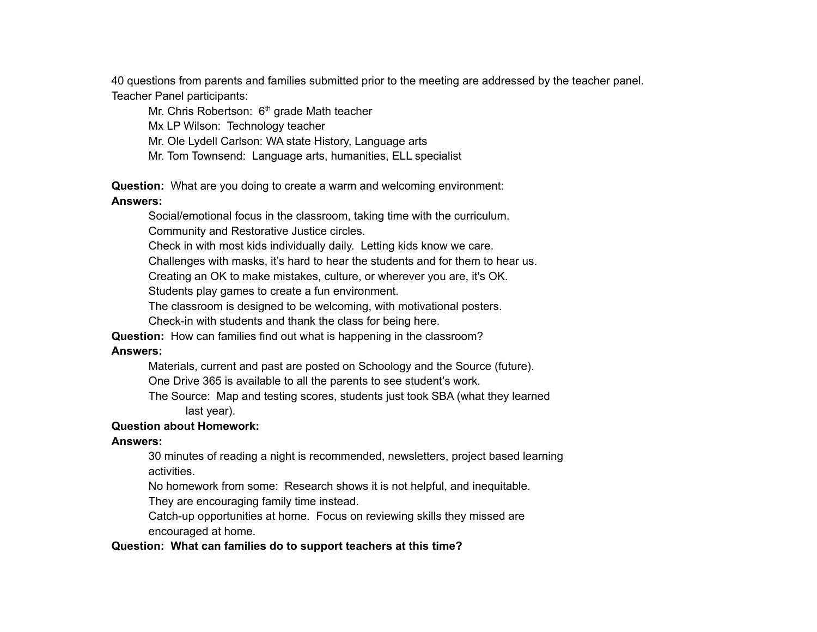40 questions from parents and families submitted prior to the meeting are addressed by the teacher panel. Teacher Panel participants:

Mr. Chris Robertson: 6<sup>th</sup> grade Math teacher

Mx LP Wilson: Technology teacher

Mr. Ole Lydell Carlson: WA state History, Language arts

Mr. Tom Townsend: Language arts, humanities, ELL specialist

**Question:** What are you doing to create a warm and welcoming environment: **Answers:**

Social/emotional focus in the classroom, taking time with the curriculum.

Community and Restorative Justice circles.

Check in with most kids individually daily. Letting kids know we care.

Challenges with masks, it's hard to hear the students and for them to hear us.

Creating an OK to make mistakes, culture, or wherever you are, it's OK.

Students play games to create a fun environment.

The classroom is designed to be welcoming, with motivational posters.

Check-in with students and thank the class for being here.

**Question:** How can families find out what is happening in the classroom?

#### **Answers:**

Materials, current and past are posted on Schoology and the Source (future).

One Drive 365 is available to all the parents to see student's work.

The Source: Map and testing scores, students just took SBA (what they learned last year).

#### **Question about Homework:**

#### **Answers:**

30 minutes of reading a night is recommended, newsletters, project based learning activities.

No homework from some: Research shows it is not helpful, and inequitable.

They are encouraging family time instead.

Catch-up opportunities at home. Focus on reviewing skills they missed are encouraged at home.

#### **Question: What can families do to support teachers at this time?**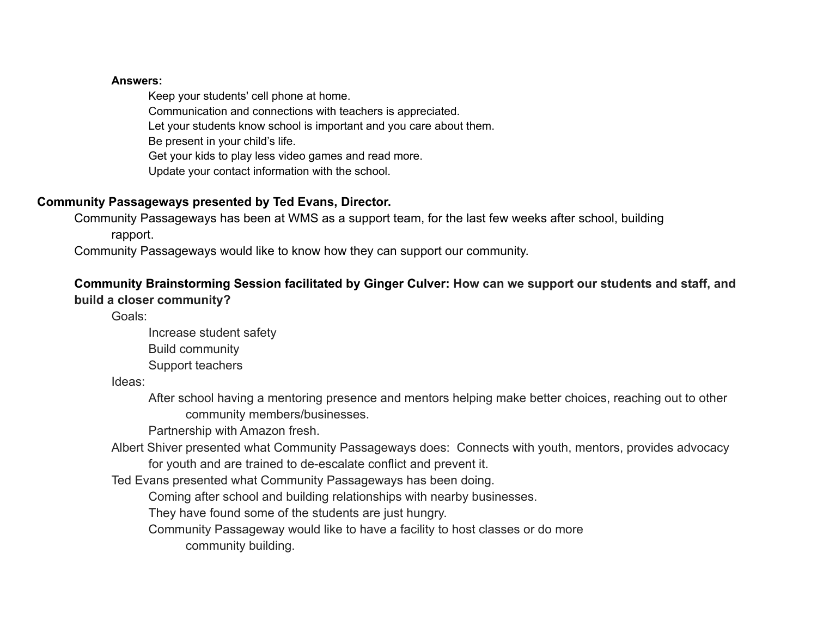#### **Answers:**

Keep your students' cell phone at home.

Communication and connections with teachers is appreciated. Let your students know school is important and you care about them. Be present in your child's life. Get your kids to play less video games and read more. Update your contact information with the school.

## **Community Passageways presented by Ted Evans, Director.**

Community Passageways has been at WMS as a support team, for the last few weeks after school, building rapport.

Community Passageways would like to know how they can support our community.

# **Community Brainstorming Session facilitated by Ginger Culver: How can we support our students and staff, and build a closer community?**

Goals:

Increase student safety Build community Support teachers

Ideas:

After school having a mentoring presence and mentors helping make better choices, reaching out to other community members/businesses.

Partnership with Amazon fresh.

Albert Shiver presented what Community Passageways does: Connects with youth, mentors, provides advocacy for youth and are trained to de-escalate conflict and prevent it.

Ted Evans presented what Community Passageways has been doing.

Coming after school and building relationships with nearby businesses.

They have found some of the students are just hungry.

Community Passageway would like to have a facility to host classes or do more

community building.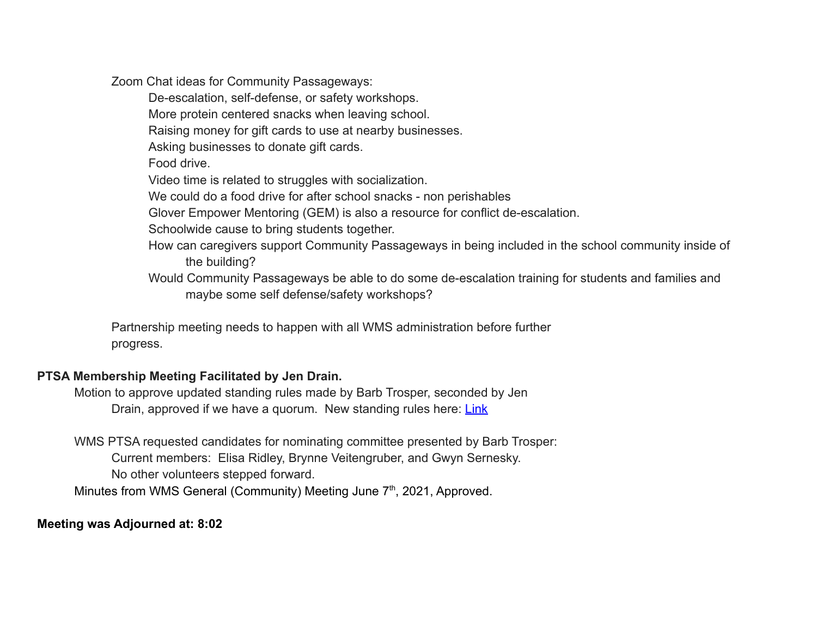Zoom Chat ideas for Community Passageways:

De-escalation, self-defense, or safety workshops.

More protein centered snacks when leaving school.

Raising money for gift cards to use at nearby businesses.

Asking businesses to donate gift cards.

Food drive.

Video time is related to struggles with socialization.

We could do a food drive for after school snacks - non perishables

Glover Empower Mentoring (GEM) is also a resource for conflict de-escalation.

Schoolwide cause to bring students together.

- How can caregivers support Community Passageways in being included in the school community inside of the building?
- Would Community Passageways be able to do some de-escalation training for students and families and maybe some self defense/safety workshops?

Partnership meeting needs to happen with all WMS administration before further progress.

## **PTSA Membership Meeting Facilitated by Jen Drain.**

Motion to approve updated standing rules made by Barb Trosper, seconded by Jen Drain, approved if we have a quorum. New standing rules here: [Link](https://drive.google.com/file/d/1jvtXmF-lgiQ_AFv5nql1QLWGftyKljjR/view?usp=sharing)

WMS PTSA requested candidates for nominating committee presented by Barb Trosper: Current members: Elisa Ridley, Brynne Veitengruber, and Gwyn Sernesky. No other volunteers stepped forward. Minutes from WMS General (Community) Meeting June 7<sup>th</sup>, 2021, Approved.

## **Meeting was Adjourned at: 8:02**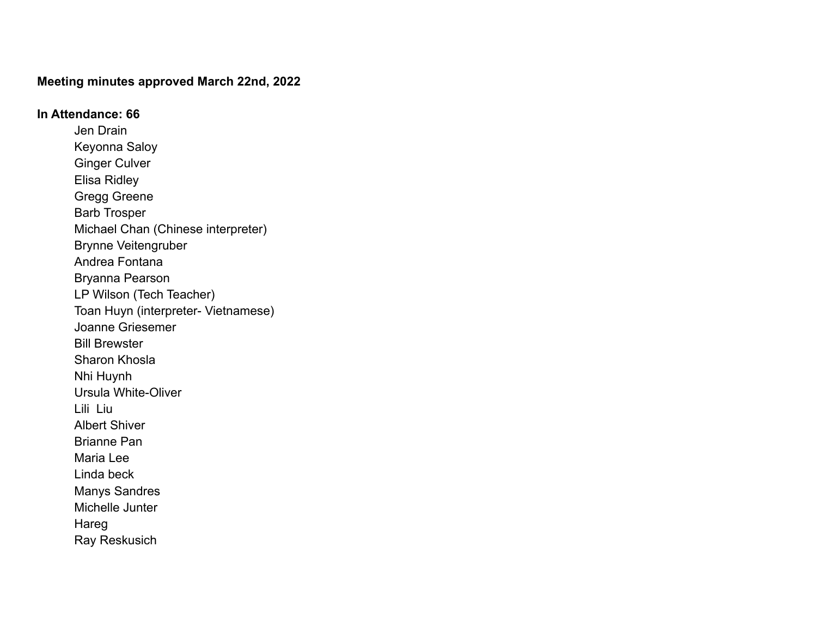#### **Meeting minutes approved March 22nd, 2022**

# **In Attendance: 66** Jen Drain Keyonna Saloy Ginger Culver Elisa Ridley Gregg Greene Barb Trosper Michael Chan (Chinese interpreter) Brynne Veitengruber Andrea Fontana Bryanna Pearson LP Wilson (Tech Teacher) Toan Huyn (interpreter- Vietnamese) Joanne Griesemer Bill Brewster Sharon Khosla Nhi Huynh Ursula White-Oliver Lili Liu Albert Shiver Brianne Pan Maria Lee Linda beck Manys Sandres Michelle Junter Hareg Ray Reskusich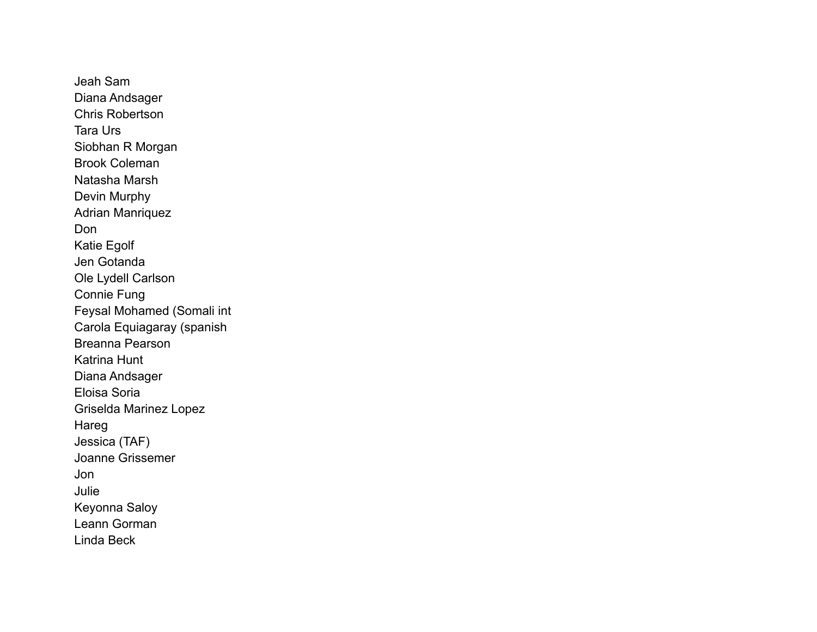Jeah Sam Diana Andsager Chris Robertson Tara Urs Siobhan R Morgan Brook Coleman Natasha Marsh Devin Murphy Adrian Manriquez Don Katie Egolf Jen Gotanda Ole Lydell Carlson Connie Fung Feysal Mohamed (Somali int Carola Equiagaray (spanish Breanna Pearson Katrina Hunt Diana Andsager Eloisa Soria Griselda Marinez Lopez Hareg Jessica (TAF) Joanne Grissemer Jon Julie Keyonna Saloy Leann Gorman Linda Beck